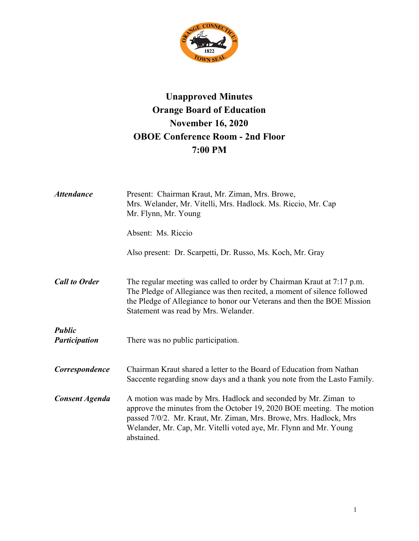

## **Unapproved Minutes Orange Board of Education November 16, 2020 OBOE Conference Room - 2nd Floor 7:00 PM**

| <b>Attendance</b>                     | Present: Chairman Kraut, Mr. Ziman, Mrs. Browe,<br>Mrs. Welander, Mr. Vitelli, Mrs. Hadlock. Ms. Riccio, Mr. Cap<br>Mr. Flynn, Mr. Young                                                                                                                                                         |
|---------------------------------------|--------------------------------------------------------------------------------------------------------------------------------------------------------------------------------------------------------------------------------------------------------------------------------------------------|
|                                       | Absent: Ms. Riccio                                                                                                                                                                                                                                                                               |
|                                       | Also present: Dr. Scarpetti, Dr. Russo, Ms. Koch, Mr. Gray                                                                                                                                                                                                                                       |
| <b>Call to Order</b>                  | The regular meeting was called to order by Chairman Kraut at 7:17 p.m.<br>The Pledge of Allegiance was then recited, a moment of silence followed<br>the Pledge of Allegiance to honor our Veterans and then the BOE Mission<br>Statement was read by Mrs. Welander.                             |
| <b>Public</b><br><b>Participation</b> | There was no public participation.                                                                                                                                                                                                                                                               |
| Correspondence                        | Chairman Kraut shared a letter to the Board of Education from Nathan<br>Saccente regarding snow days and a thank you note from the Lasto Family.                                                                                                                                                 |
| <b>Consent Agenda</b>                 | A motion was made by Mrs. Hadlock and seconded by Mr. Ziman to<br>approve the minutes from the October 19, 2020 BOE meeting. The motion<br>passed 7/0/2. Mr. Kraut, Mr. Ziman, Mrs. Browe, Mrs. Hadlock, Mrs.<br>Welander, Mr. Cap, Mr. Vitelli voted aye, Mr. Flynn and Mr. Young<br>abstained. |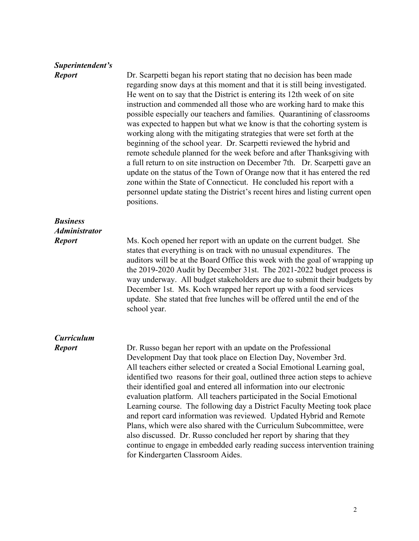| Superintendent's     |                                                                                                                                                                                                                                                                                                                                                                                                                                                                                                                                                                                                                                                                                                                                                                                                                                                                                                                                                                                                                                    |
|----------------------|------------------------------------------------------------------------------------------------------------------------------------------------------------------------------------------------------------------------------------------------------------------------------------------------------------------------------------------------------------------------------------------------------------------------------------------------------------------------------------------------------------------------------------------------------------------------------------------------------------------------------------------------------------------------------------------------------------------------------------------------------------------------------------------------------------------------------------------------------------------------------------------------------------------------------------------------------------------------------------------------------------------------------------|
| <b>Report</b>        | Dr. Scarpetti began his report stating that no decision has been made<br>regarding snow days at this moment and that it is still being investigated.<br>He went on to say that the District is entering its 12th week of on site<br>instruction and commended all those who are working hard to make this<br>possible especially our teachers and families. Quarantining of classrooms<br>was expected to happen but what we know is that the cohorting system is<br>working along with the mitigating strategies that were set forth at the<br>beginning of the school year. Dr. Scarpetti reviewed the hybrid and<br>remote schedule planned for the week before and after Thanksgiving with<br>a full return to on site instruction on December 7th. Dr. Scarpetti gave an<br>update on the status of the Town of Orange now that it has entered the red<br>zone within the State of Connecticut. He concluded his report with a<br>personnel update stating the District's recent hires and listing current open<br>positions. |
| <b>Business</b>      |                                                                                                                                                                                                                                                                                                                                                                                                                                                                                                                                                                                                                                                                                                                                                                                                                                                                                                                                                                                                                                    |
| <b>Administrator</b> |                                                                                                                                                                                                                                                                                                                                                                                                                                                                                                                                                                                                                                                                                                                                                                                                                                                                                                                                                                                                                                    |
| <b>Report</b>        | Ms. Koch opened her report with an update on the current budget. She<br>states that everything is on track with no unusual expenditures. The<br>auditors will be at the Board Office this week with the goal of wrapping up<br>the 2019-2020 Audit by December 31st. The 2021-2022 budget process is<br>way underway. All budget stakeholders are due to submit their budgets by<br>December 1st. Ms. Koch wrapped her report up with a food services<br>update. She stated that free lunches will be offered until the end of the<br>school year.                                                                                                                                                                                                                                                                                                                                                                                                                                                                                 |
| <b>Curriculum</b>    |                                                                                                                                                                                                                                                                                                                                                                                                                                                                                                                                                                                                                                                                                                                                                                                                                                                                                                                                                                                                                                    |
| <b>Report</b>        | Dr. Russo began her report with an update on the Professional<br>Development Day that took place on Election Day, November 3rd.<br>All teachers either selected or created a Social Emotional Learning goal,<br>identified two reasons for their goal, outlined three action steps to achieve<br>their identified goal and entered all information into our electronic<br>evaluation platform. All teachers participated in the Social Emotional<br>Learning course. The following day a District Faculty Meeting took place<br>and report card information was reviewed. Updated Hybrid and Remote<br>Plans, which were also shared with the Curriculum Subcommittee, were<br>also discussed. Dr. Russo concluded her report by sharing that they<br>continue to engage in embedded early reading success intervention training<br>for Kindergarten Classroom Aides.                                                                                                                                                              |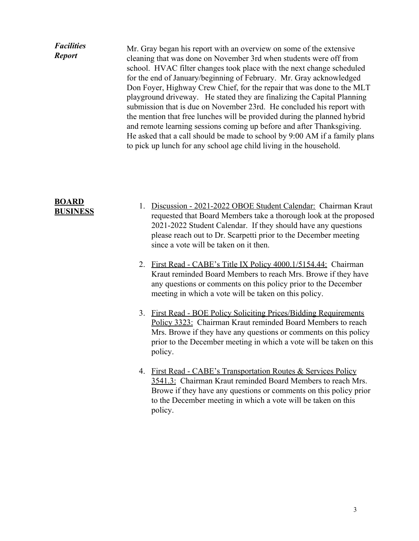## *Facilities Report* Mr. Gray began his report with an overview on some of the extensive cleaning that was done on November 3rd when students were off from school. HVAC filter changes took place with the next change scheduled for the end of January/beginning of February. Mr. Gray acknowledged Don Foyer, Highway Crew Chief, for the repair that was done to the MLT playground driveway. He stated they are finalizing the Capital Planning submission that is due on November 23rd. He concluded his report with the mention that free lunches will be provided during the planned hybrid and remote learning sessions coming up before and after Thanksgiving. He asked that a call should be made to school by 9:00 AM if a family plans to pick up lunch for any school age child living in the household.

## **BOARD BUSINESS**

- 1. Discussion 2021-2022 OBOE Student Calendar: Chairman Kraut requested that Board Members take a thorough look at the proposed 2021-2022 Student Calendar. If they should have any questions please reach out to Dr. Scarpetti prior to the December meeting since a vote will be taken on it then.
- 2. First Read CABE's Title IX Policy 4000.1/5154.44: Chairman Kraut reminded Board Members to reach Mrs. Browe if they have any questions or comments on this policy prior to the December meeting in which a vote will be taken on this policy.
- 3. First Read BOE Policy Soliciting Prices/Bidding Requirements Policy 3323: Chairman Kraut reminded Board Members to reach Mrs. Browe if they have any questions or comments on this policy prior to the December meeting in which a vote will be taken on this policy.
- 4. First Read CABE's Transportation Routes & Services Policy 3541.3: Chairman Kraut reminded Board Members to reach Mrs. Browe if they have any questions or comments on this policy prior to the December meeting in which a vote will be taken on this policy.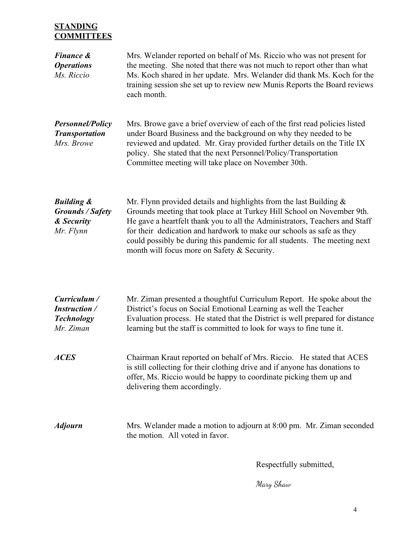## **STANDING COMMITTEES**

| <b>Finance &amp;</b><br><b>Operations</b><br>Ms. Riccio                     | Mrs. Welander reported on behalf of Ms. Riccio who was not present for<br>the meeting. She noted that there was not much to report other than what<br>Ms. Koch shared in her update. Mrs. Welander did thank Ms. Koch for the<br>training session she set up to review new Munis Reports the Board reviews<br>each month.                                                                                                           |
|-----------------------------------------------------------------------------|-------------------------------------------------------------------------------------------------------------------------------------------------------------------------------------------------------------------------------------------------------------------------------------------------------------------------------------------------------------------------------------------------------------------------------------|
| <b>Personnel/Policy</b><br><b>Transportation</b><br>Mrs. Browe              | Mrs. Browe gave a brief overview of each of the first read policies listed<br>under Board Business and the background on why they needed to be<br>reviewed and updated. Mr. Gray provided further details on the Title IX<br>policy. She stated that the next Personnel/Policy/Transportation<br>Committee meeting will take place on November 30th.                                                                                |
| <b>Building &amp;</b><br><b>Grounds / Safety</b><br>& Security<br>Mr. Flynn | Mr. Flynn provided details and highlights from the last Building $\&$<br>Grounds meeting that took place at Turkey Hill School on November 9th.<br>He gave a heartfelt thank you to all the Administrators, Teachers and Staff<br>for their dedication and hardwork to make our schools as safe as they<br>could possibly be during this pandemic for all students. The meeting next<br>month will focus more on Safety & Security. |
| Curriculum /<br><b>Instruction</b> /<br><b>Technology</b><br>Mr. Ziman      | Mr. Ziman presented a thoughtful Curriculum Report. He spoke about the<br>District's focus on Social Emotional Learning as well the Teacher<br>Evaluation process. He stated that the District is well prepared for distance<br>learning but the staff is committed to look for ways to fine tune it.                                                                                                                               |
| <b>ACES</b>                                                                 | Chairman Kraut reported on behalf of Mrs. Riccio. He stated that ACES<br>is still collecting for their clothing drive and if anyone has donations to<br>offer, Ms. Riccio would be happy to coordinate picking them up and<br>delivering them accordingly.                                                                                                                                                                          |
| <b>Adjourn</b>                                                              | Mrs. Welander made a motion to adjourn at 8:00 pm. Mr. Ziman seconded<br>the motion. All voted in favor.                                                                                                                                                                                                                                                                                                                            |

Respectfully submitted,

Mary Shaw